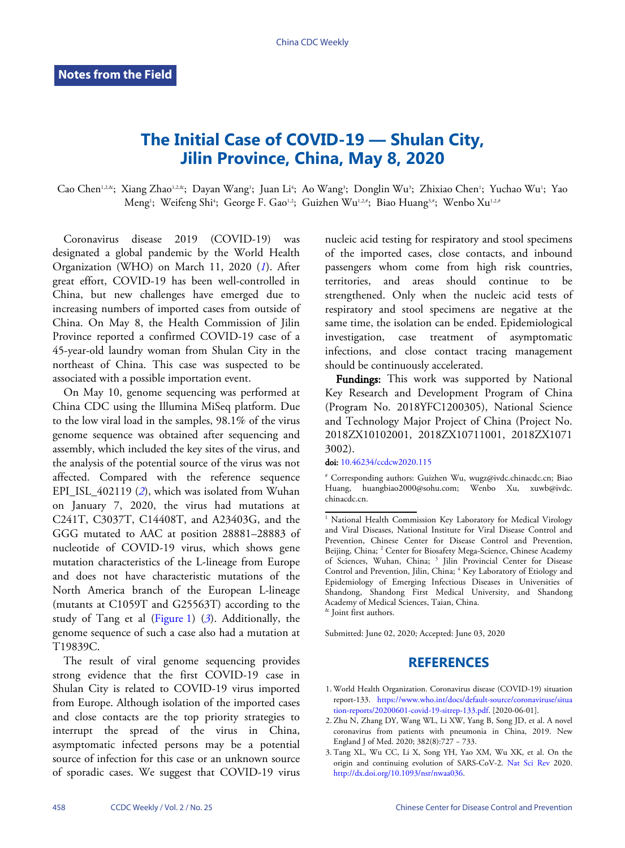## **The Initial Case of COVID-19 — Shulan City, Jilin Province, China, May 8, 2020**

Cao Chen'12&; Xiang Zhao'12&; Dayan Wang'; Juan Li'; Ao Wang'; Donglin Wu'; Zhixiao Chen'; Yuchao Wu'; Yao Meng'; Weifeng Shi4; George F. Gao12; Guizhen Wu12.#; Biao Huang3.#; Wenbo Xu1.2.#

Coronavirus disease 2019 (COVID-19) was designated a global pandemic by the World Health Organization (WHO) on March 11, 2020 (*[1](#page-0-0)*). After great effort, COVID-19 has been well-controlled in China, but new challenges have emerged due to increasing numbers of imported cases from outside of China. On May 8, the Health Commission of Jilin Province reported a confirmed COVID-19 case of a 45-year-old laundry woman from Shulan City in the northeast of China. This case was suspected to be associated with a possible importation event.

On May 10, genome sequencing was performed at China CDC using the Illumina MiSeq platform. Due to the low viral load in the samples, 98.1% of the virus genome sequence was obtained after sequencing and assembly, which included the key sites of the virus, and the analysis of the potential source of the virus was not affected. Compared with the reference sequence EPI\_ISL\_402119 (*[2](#page-0-1)*), which was isolated from Wuhan on January 7, 2020, the virus had mutations at C241T, C3037T, C14408T, and A23403G, and the GGG mutated to AAC at position 28881–28883 of nucleotide of COVID-19 virus, which shows gene mutation characteristics of the L-lineage from Europe and does not have characteristic mutations of the North America branch of the European L-lineage (mutants at C1059T [and G25](#page-1-0)56[3T](#page-0-2)) according to the study of Tang et al [\(Figure 1\)](#page-1-0) (*[3](#page-0-2)*). Additionally, the genome sequence of such a case also had a mutation at T19839C.

The result of viral genome sequencing provides strong evidence that the first COVID-19 case in Shulan City is related to COVID-19 virus imported from Europe. Although isolation of the imported cases and close contacts are the top priority strategies to interrupt the spread of the virus in China, asymptomatic infected persons may be a potential source of infection for this case or an unknown source of sporadic cases. We suggest that COVID-19 virus

nucleic acid testing for respiratory and stool specimens of the imported cases, close contacts, and inbound passengers whom come from high risk countries, territories, and areas should continue to be strengthened. Only when the nucleic acid tests of respiratory and stool specimens are negative at the same time, the isolation can be ended. Epidemiological investigation, case treatment of asymptomatic infections, and close contact tracing management should be continuously accelerated.

Fundings: This work was supported by National Key Research and Development Program of China (Program No. 2018YFC1200305), National Science and Technology Major Project of China (Project No. 2018ZX10102001, 2018ZX10711001, 2018ZX1071 3002).

doi: [10.46234/ccdcw2020.115](https://doi.org/10.46234/ccdcw2020.115)

& Joint first authors.

Submitted: June 02, 2020; Accepted: June 03, 2020

## **REFERENCES**

- <span id="page-0-0"></span>World Healt[h Organization. Coronavirus disease \(COVID-19\) situation](https://www.who.int/docs/default-source/coronaviruse/situation-reports/20200601-covid-19-sitrep-133.pdf) 1. report-133. [https://www.who.int/docs/default-source/coronaviruse/situa](https://www.who.int/docs/default-source/coronaviruse/situation-reports/20200601-covid-19-sitrep-133.pdf) [tion-reports/20200601-covid-19-sitrep-133.pdf](https://www.who.int/docs/default-source/coronaviruse/situation-reports/20200601-covid-19-sitrep-133.pdf). [2020-06-01].
- <span id="page-0-1"></span>2. Zhu N, Zhang DY, Wang WL, Li XW, Yang B, Song JD, et al. A novel coronavirus from patients with pneumonia in China, 2019. New England J of Med. 2020; 382(8):727 − 733.
- <span id="page-0-2"></span>Tang XL, Wu CC, Li X, Song YH, Yao XM, W[u XK, et al.](https://doi.org/10.1093/nsr/nwaa036) On the 3. [origin and continuing evolution of SA](https://doi.org/10.1093/nsr/nwaa036)RS-CoV-2. [Nat Sci Rev](https://doi.org/10.1093/nsr/nwaa036) 2020. [http://dx.doi.org/10.1093/nsr/nwaa036.](https://doi.org/10.1093/nsr/nwaa036)

<sup>#</sup> C[orresponding authors: Guiz](https://doi.org/10.46234/ccdcw2020.115)hen Wu, wugz@ivdc.chinacdc.cn; Biao Huang, huangbiao2000@sohu.com; Wenbo Xu, xuwb@ivdc. chinacdc.cn.

<sup>&</sup>lt;sup>1</sup> National Health Commission Key Laboratory for Medical Virology and Viral Diseases, National Institute for Viral Disease Control and Prevention, Chinese Center for Disease Control and Prevention, Beijing, China; <sup>2</sup> Center for Biosafety Mega-Science, Chinese Academy of Sciences, Wuhan, China; <sup>3</sup> Jilin Provincial Center for Disease Control and Prevention, Jilin, China; <sup>4</sup> Key Laboratory of Etiology and Epidemiology of Emerging Infectious Diseases in Universities of Shandong, Shandong First Medical University, and Shandong Academy of Medical Sciences, Taian, China.